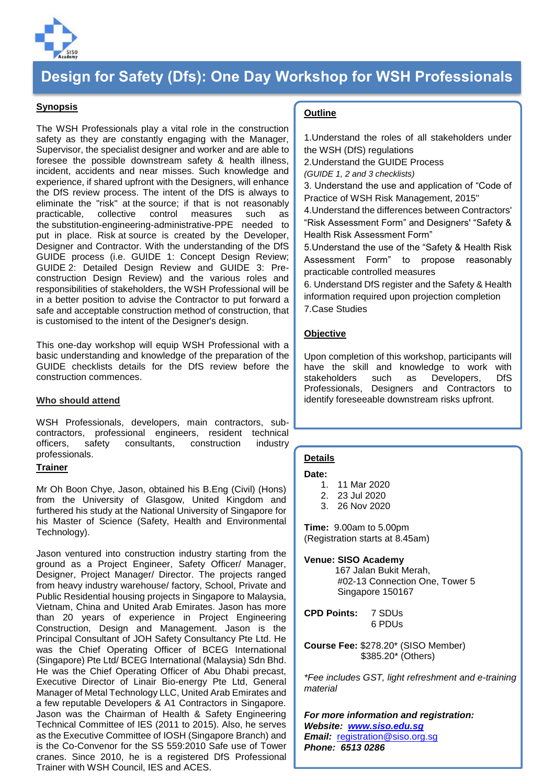

# **Design for Safety (Dfs): One Day Workshop for WSH Professionals**

## **Synopsis**

The WSH Professionals play a vital role in the construction safety as they are constantly engaging with the Manager, Supervisor, the specialist designer and worker and are able to foresee the possible downstream safety & health illness, incident, accidents and near misses. Such knowledge and experience, if shared upfront with the Designers, will enhance the DfS review process. The intent of the DfS is always to eliminate the "risk" at the source; if that is not reasonably practicable, collective control measures such as the substitution-engineering-administrative-PPE needed to put in place. Risk at source is created by the Developer, Designer and Contractor. With the understanding of the DfS GUIDE process (i.e. GUIDE 1: Concept Design Review; GUIDE 2: Detailed Design Review and GUIDE 3: Preconstruction Design Review) and the various roles and responsibilities of stakeholders, the WSH Professional will be in a better position to advise the Contractor to put forward a safe and acceptable construction method of construction, that is customised to the intent of the Designer's design.

This one-day workshop will equip WSH Professional with a basic understanding and knowledge of the preparation of the GUIDE checklists details for the DfS review before the construction commences.

#### **Who should attend**

WSH Professionals, developers, main contractors, subcontractors, professional engineers, resident technical officers, safety consultants, construction industry professionals.

#### **Trainer**

Mr Oh Boon Chye, Jason, obtained his B.Eng (Civil) (Hons) from the University of Glasgow, United Kingdom and furthered his study at the National University of Singapore for his Master of Science (Safety, Health and Environmental Technology).

Jason ventured into construction industry starting from the ground as a Project Engineer, Safety Officer/ Manager, Designer, Project Manager/ Director. The projects ranged from heavy industry warehouse/ factory, School, Private and Public Residential housing projects in Singapore to Malaysia, Vietnam, China and United Arab Emirates. Jason has more than 20 years of experience in Project Engineering Construction, Design and Management. Jason is the Principal Consultant of JOH Safety Consultancy Pte Ltd. He was the Chief Operating Officer of BCEG International (Singapore) Pte Ltd/ BCEG International (Malaysia) Sdn Bhd. He was the Chief Operating Officer of Abu Dhabi precast, Executive Director of Linair Bio-energy Pte Ltd, General Manager of Metal Technology LLC, United Arab Emirates and a few reputable Developers & A1 Contractors in Singapore. Jason was the Chairman of Health & Safety Engineering Technical Committee of IES (2011 to 2015). Also, he serves as the Executive Committee of IOSH (Singapore Branch) and is the Co-Convenor for the SS 559:2010 Safe use of Tower cranes. Since 2010, he is a registered DfS Professional Trainer with WSH Council, IES and ACES.

## **Outline**

1.Understand the roles of all stakeholders under the WSH (DfS) regulations

2.Understand the GUIDE Process

*(GUIDE 1, 2 and 3 checklists)*

3. Understand the use and application of "Code of Practice of WSH Risk Management, 2015"

4.Understand the differences between Contractors' "Risk Assessment Form" and Designers' "Safety & Health Risk Assessment Form"

5.Understand the use of the "Safety & Health Risk Assessment Form" to propose reasonably practicable controlled measures

6. Understand DfS register and the Safety & Health information required upon projection completion 7.Case Studies

## **Objective**

Upon completion of this workshop, participants will have the skill and knowledge to work with stakeholders such as Developers, DfS Professionals, Designers and Contractors to identify foreseeable downstream risks upfront.

#### **Details**

#### **Date:**

- 1. 11 Mar 2020
- 2. 23 Jul 2020
- 3. 26 Nov 2020

**Time:** 9.00am to 5.00pm (Registration starts at 8.45am)

#### **Venue: SISO Academy**

 167 Jalan Bukit Merah, #02-13 Connection One, Tower 5 Singapore 150167

**CPD Points:** 7 SDUs 6 PDUs

**Course Fee:** \$278.20\* (SISO Member) \$385.20\* (Others)

*\*Fee includes GST, light refreshment and e-training material*

*For more information and registration: Website: [www.siso.edu.sg](http://www.siso.edu.sg/)  Email:* [registration@siso.org.sg](mailto:registration@siso.org.sg) *Phone: 6513 0286*